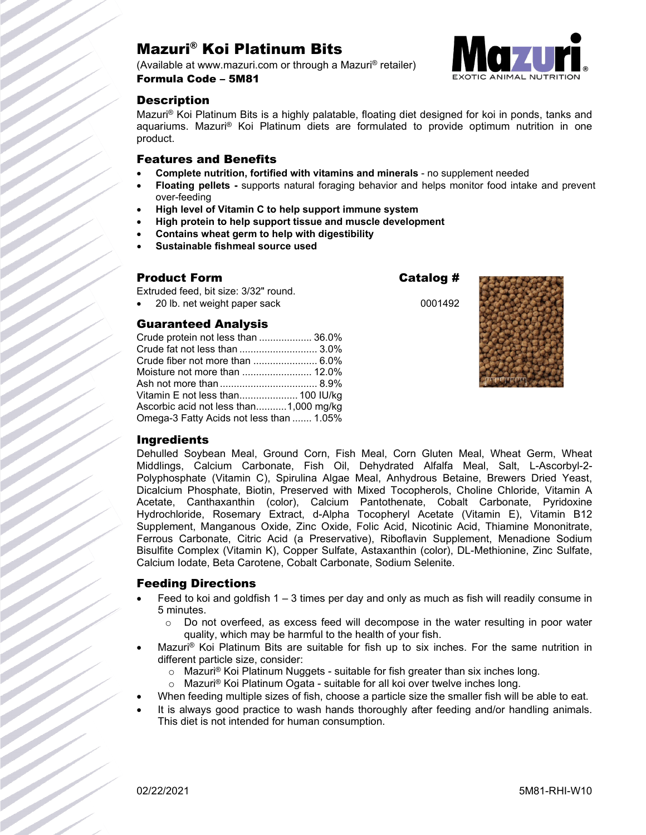# Mazuri® Koi Platinum Bits

(Available at www.mazuri.com or through a Mazuri® retailer) Formula Code – 5M81



# **Description**

Mazuri® Koi Platinum Bits is a highly palatable, floating diet designed for koi in ponds, tanks and aquariums. Mazuri® Koi Platinum diets are formulated to provide optimum nutrition in one product.

### Features and Benefits

- **Complete nutrition, fortified with vitamins and minerals** no supplement needed
- **Floating pellets -** supports natural foraging behavior and helps monitor food intake and prevent over-feeding
- **High level of Vitamin C to help support immune system**
- **High protein to help support tissue and muscle development**
- **Contains wheat germ to help with digestibility**
- **Sustainable fishmeal source used**

#### Product Form **Catalog #**

Extruded feed, bit size: 3/32" round.

• 20 lb. net weight paper sack 0001492

### Guaranteed Analysis

| Crude protein not less than  36.0%       |  |
|------------------------------------------|--|
| Crude fat not less than  3.0%            |  |
|                                          |  |
|                                          |  |
|                                          |  |
| Vitamin E not less than 100 IU/kg        |  |
| Ascorbic acid not less than1,000 mg/kg   |  |
| Omega-3 Fatty Acids not less than  1.05% |  |





### **Ingredients**

Dehulled Soybean Meal, Ground Corn, Fish Meal, Corn Gluten Meal, Wheat Germ, Wheat Middlings, Calcium Carbonate, Fish Oil, Dehydrated Alfalfa Meal, Salt, L-Ascorbyl-2- Polyphosphate (Vitamin C), Spirulina Algae Meal, Anhydrous Betaine, Brewers Dried Yeast, Dicalcium Phosphate, Biotin, Preserved with Mixed Tocopherols, Choline Chloride, Vitamin A Acetate, Canthaxanthin (color), Calcium Pantothenate, Cobalt Carbonate, Pyridoxine Hydrochloride, Rosemary Extract, d-Alpha Tocopheryl Acetate (Vitamin E), Vitamin B12 Supplement, Manganous Oxide, Zinc Oxide, Folic Acid, Nicotinic Acid, Thiamine Mononitrate, Ferrous Carbonate, Citric Acid (a Preservative), Riboflavin Supplement, Menadione Sodium Bisulfite Complex (Vitamin K), Copper Sulfate, Astaxanthin (color), DL-Methionine, Zinc Sulfate, Calcium Iodate, Beta Carotene, Cobalt Carbonate, Sodium Selenite.

### Feeding Directions

- Feed to koi and goldfish  $1 3$  times per day and only as much as fish will readily consume in 5 minutes.
	- $\circ$  Do not overfeed, as excess feed will decompose in the water resulting in poor water quality, which may be harmful to the health of your fish.
- Mazuri® Koi Platinum Bits are suitable for fish up to six inches. For the same nutrition in different particle size, consider:
	- o Mazuri® Koi Platinum Nuggets suitable for fish greater than six inches long.
	- o Mazuri® Koi Platinum Ogata suitable for all koi over twelve inches long.
- When feeding multiple sizes of fish, choose a particle size the smaller fish will be able to eat.
- It is always good practice to wash hands thoroughly after feeding and/or handling animals. This diet is not intended for human consumption.